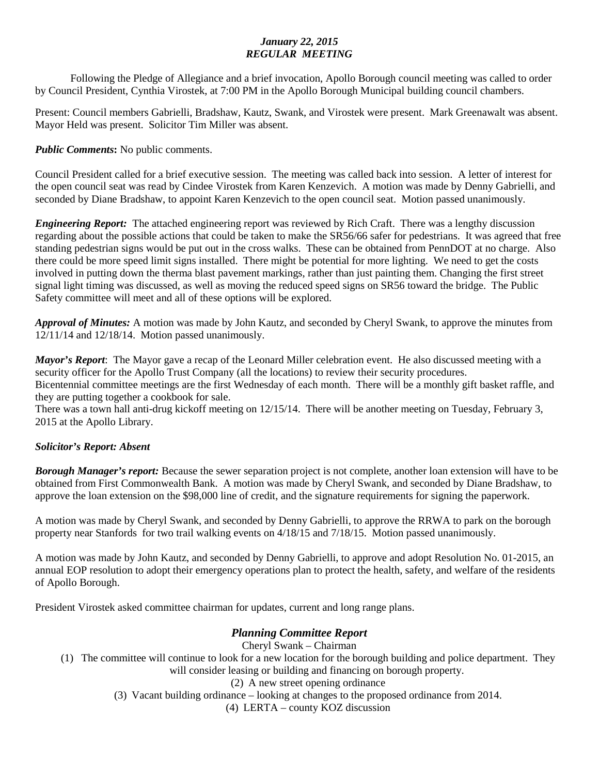## *January 22, 2015 REGULAR MEETING*

Following the Pledge of Allegiance and a brief invocation, Apollo Borough council meeting was called to order by Council President, Cynthia Virostek, at 7:00 PM in the Apollo Borough Municipal building council chambers.

Present: Council members Gabrielli, Bradshaw, Kautz, Swank, and Virostek were present. Mark Greenawalt was absent. Mayor Held was present. Solicitor Tim Miller was absent.

*Public Comments***:** No public comments.

Council President called for a brief executive session. The meeting was called back into session. A letter of interest for the open council seat was read by Cindee Virostek from Karen Kenzevich. A motion was made by Denny Gabrielli, and seconded by Diane Bradshaw, to appoint Karen Kenzevich to the open council seat. Motion passed unanimously.

*Engineering Report:* The attached engineering report was reviewed by Rich Craft. There was a lengthy discussion regarding about the possible actions that could be taken to make the SR56/66 safer for pedestrians. It was agreed that free standing pedestrian signs would be put out in the cross walks. These can be obtained from PennDOT at no charge. Also there could be more speed limit signs installed. There might be potential for more lighting. We need to get the costs involved in putting down the therma blast pavement markings, rather than just painting them. Changing the first street signal light timing was discussed, as well as moving the reduced speed signs on SR56 toward the bridge. The Public Safety committee will meet and all of these options will be explored.

*Approval of Minutes:* A motion was made by John Kautz, and seconded by Cheryl Swank, to approve the minutes from 12/11/14 and 12/18/14. Motion passed unanimously.

*Mayor's Report*: The Mayor gave a recap of the Leonard Miller celebration event. He also discussed meeting with a security officer for the Apollo Trust Company (all the locations) to review their security procedures. Bicentennial committee meetings are the first Wednesday of each month. There will be a monthly gift basket raffle, and they are putting together a cookbook for sale.

There was a town hall anti-drug kickoff meeting on 12/15/14. There will be another meeting on Tuesday, February 3, 2015 at the Apollo Library.

### *Solicitor's Report: Absent*

*Borough Manager's report:* Because the sewer separation project is not complete, another loan extension will have to be obtained from First Commonwealth Bank. A motion was made by Cheryl Swank, and seconded by Diane Bradshaw, to approve the loan extension on the \$98,000 line of credit, and the signature requirements for signing the paperwork.

A motion was made by Cheryl Swank, and seconded by Denny Gabrielli, to approve the RRWA to park on the borough property near Stanfords for two trail walking events on 4/18/15 and 7/18/15. Motion passed unanimously.

A motion was made by John Kautz, and seconded by Denny Gabrielli, to approve and adopt Resolution No. 01-2015, an annual EOP resolution to adopt their emergency operations plan to protect the health, safety, and welfare of the residents of Apollo Borough.

President Virostek asked committee chairman for updates, current and long range plans.

# *Planning Committee Report*

Cheryl Swank – Chairman (1) The committee will continue to look for a new location for the borough building and police department. They will consider leasing or building and financing on borough property. (2) A new street opening ordinance (3) Vacant building ordinance – looking at changes to the proposed ordinance from 2014. (4) LERTA – county KOZ discussion